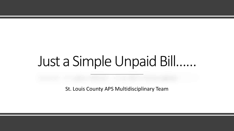# Just a Simple Unpaid Bill……

St. Louis County APS Multidisciplinary Team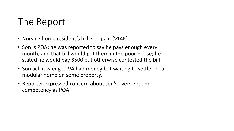## The Report

- Nursing home resident's bill is unpaid (>14K).
- Son is POA; he was reported to say he pays enough every month; and that bill would put them in the poor house; he stated he would pay \$500 but otherwise contested the bill.
- Son acknowledged VA had money but waiting to settle on a modular home on some property.
- Reporter expressed concern about son's oversight and competency as POA.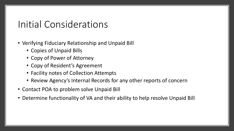#### Initial Considerations

- Verifying Fiduciary Relationship and Unpaid Bill
	- Copies of Unpaid Bills
	- Copy of Power of Attorney
	- Copy of Resident's Agreement
	- Facility notes of Collection Attempts
	- Review Agency's Internal Records for any other reports of concern
- Contact POA to problem solve Unpaid Bill
- Determine functionality of VA and their ability to help resolve Unpaid Bill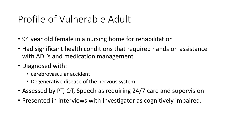#### Profile of Vulnerable Adult

- 94 year old female in a nursing home for rehabilitation
- Had significant health conditions that required hands on assistance with ADL's and medication management
- Diagnosed with:
	- cerebrovascular accident
	- Degenerative disease of the nervous system
- Assessed by PT, OT, Speech as requiring 24/7 care and supervision
- Presented in interviews with Investigator as cognitively impaired.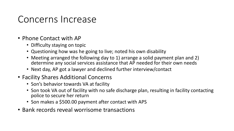#### Concerns Increase

- Phone Contact with AP
	- Difficulty staying on topic
	- Questioning how was he going to live; noted his own disability
	- Meeting arranged the following day to 1) arrange a solid payment plan and 2) determine any social services assistance that AP needed for their own needs
	- Next day, AP got a lawyer and declined further interview/contact
- Facility Shares Additional Concerns
	- Son's behavior towards VA at facility
	- Son took VA out of facility with no safe discharge plan, resulting in facility contacting police to secure her return
	- Son makes a \$500.00 payment after contact with APS
- Bank records reveal worrisome transactions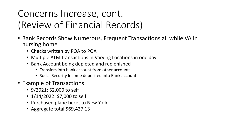# Concerns Increase, cont. (Review of Financial Records)

- Bank Records Show Numerous, Frequent Transactions all while VA in nursing home
	- Checks written by POA to POA
	- Multiple ATM transactions in Varying Locations in one day
	- Bank Account being depleted and replenished
		- Transfers into bank account from other accounts
		- Social Security Income deposited into Bank account
- Example of Transactions
	- 9/2021: \$2,000 to self
	- 1/14/2022: \$7,000 to self
	- Purchased plane ticket to New York
	- Aggregate total \$69,427.13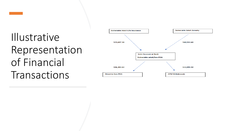# Illustrative Representation of Financial Transactions

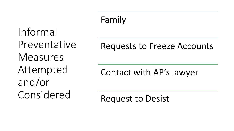Informal Preventative Measures Attempted and/or Considered

### Family

#### Requests to Freeze Accounts

#### Contact with AP's lawyer

Request to Desist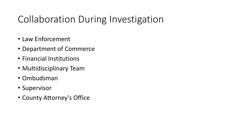## Collaboration During Investigation

- Law Enforcement
- Department of Commerce
- Financial Institutions
- Multidisciplinary Team
- Ombudsman
- Supervisor
- County Attorney's Office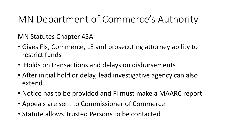#### MN Department of Commerce's Authority

MN Statutes Chapter 45A

- Gives FIs, Commerce, LE and prosecuting attorney ability to restrict funds
- Holds on transactions and delays on disbursements
- After initial hold or delay, lead investigative agency can also extend
- Notice has to be provided and FI must make a MAARC report
- Appeals are sent to Commissioner of Commerce
- Statute allows Trusted Persons to be contacted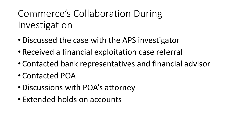## Commerce's Collaboration During Investigation

- •Discussed the case with the APS investigator
- Received a financial exploitation case referral
- Contacted bank representatives and financial advisor
- Contacted POA
- •Discussions with POA's attorney
- Extended holds on accounts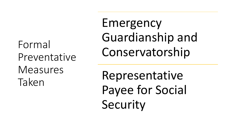Formal Preventative Measures Taken

Emergency Guardianship and Conservatorship

Representative Payee for Social Security